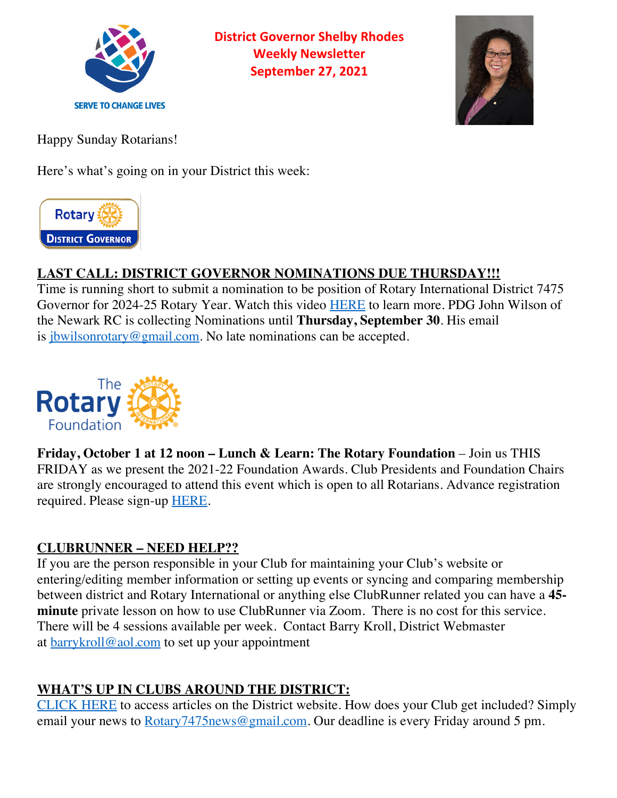

**District Governor Shelby Rhodes Weekly Newsletter September 27, 2021**



Happy Sunday Rotarians!

Here's what's going on in your District this week:



# **LAST CALL: DISTRICT GOVERNOR NOMINATIONS DUE THURSDAY!!!**

Time is running short to submit a nomination to be position of Rotary International District 7475 Governor for 2024-25 Rotary Year. Watch this video HERE to learn more. PDG John Wilson of the Newark RC is collecting Nominations until **Thursday, September 30**. His email is jbwilsonrotary@gmail.com. No late nominations can be accepted.



**Friday, October 1 at 12 noon – Lunch & Learn: The Rotary Foundation** – Join us THIS FRIDAY as we present the 2021-22 Foundation Awards. Club Presidents and Foundation Chairs are strongly encouraged to attend this event which is open to all Rotarians. Advance registration required. Please sign-up **HERE**.

### **CLUBRUNNER – NEED HELP??**

If you are the person responsible in your Club for maintaining your Club's website or entering/editing member information or setting up events or syncing and comparing membership between district and Rotary International or anything else ClubRunner related you can have a **45 minute** private lesson on how to use ClubRunner via Zoom. There is no cost for this service. There will be 4 sessions available per week. Contact Barry Kroll, District Webmaster at  $barrykroll@aol.com$  to set up your appointment

## **WHAT'S UP IN CLUBS AROUND THE DISTRICT:**

CLICK HERE to access articles on the District website. How does your Club get included? Simply email your news to Rotary7475news@gmail.com. Our deadline is every Friday around 5 pm.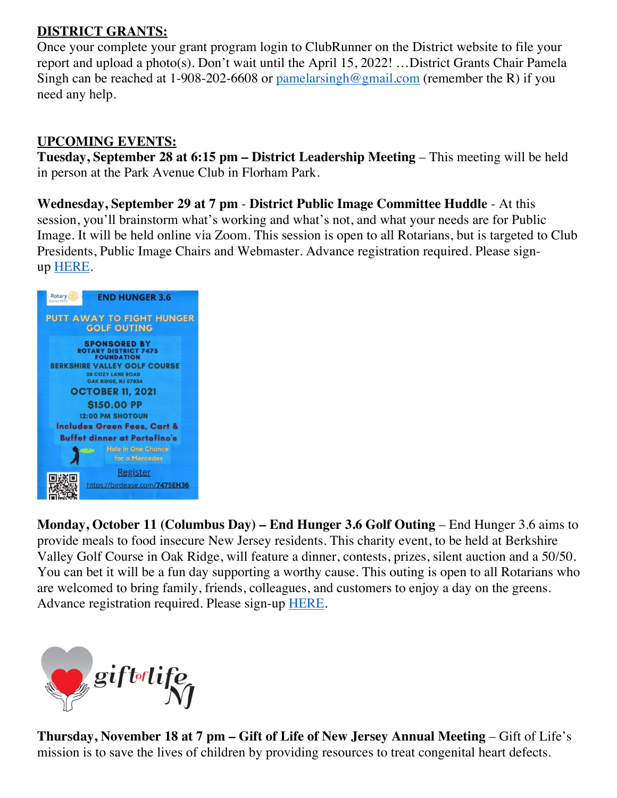#### **DISTRICT GRANTS:**

Once your complete your grant program login to ClubRunner on the District website to file your report and upload a photo(s). Don't wait until the April 15, 2022! …District Grants Chair Pamela Singh can be reached at 1-908-202-6608 or  $\frac{\text{pamelarsing} \log \text{pamail.com}}{\text{pamail.com}}$  (remember the R) if you need any help.

#### **UPCOMING EVENTS:**

**Tuesday, September 28 at 6:15 pm – District Leadership Meeting** – This meeting will be held in person at the Park Avenue Club in Florham Park.

**Wednesday, September 29 at 7 pm** - **District Public Image Committee Huddle** - At this session, you'll brainstorm what's working and what's not, and what your needs are for Public Image. It will be held online via Zoom. This session is open to all Rotarians, but is targeted to Club Presidents, Public Image Chairs and Webmaster. Advance registration required. Please signup HERE.



**Monday, October 11 (Columbus Day) – End Hunger 3.6 Golf Outing** – End Hunger 3.6 aims to provide meals to food insecure New Jersey residents. This charity event, to be held at Berkshire Valley Golf Course in Oak Ridge, will feature a dinner, contests, prizes, silent auction and a 50/50. You can bet it will be a fun day supporting a worthy cause. This outing is open to all Rotarians who are welcomed to bring family, friends, colleagues, and customers to enjoy a day on the greens. Advance registration required. Please sign-up HERE.



**Thursday, November 18 at 7 pm – Gift of Life of New Jersey Annual Meeting** – Gift of Life's mission is to save the lives of children by providing resources to treat congenital heart defects.